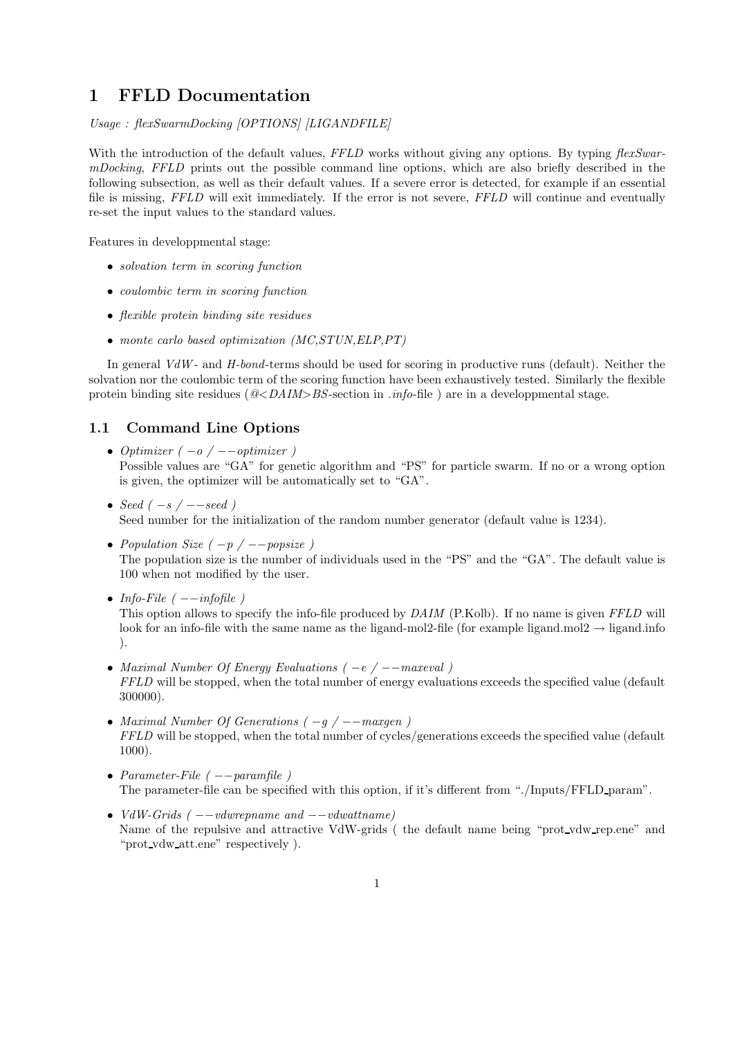## 1 FFLD Documentation

Usage : flexSwarmDocking [OPTIONS] [LIGANDFILE]

With the introduction of the default values, FFLD works without giving any options. By typing flexSwarmDocking, FFLD prints out the possible command line options, which are also briefly described in the following subsection, as well as their default values. If a severe error is detected, for example if an essential file is missing, FFLD will exit immediately. If the error is not severe, FFLD will continue and eventually re-set the input values to the standard values.

Features in developpmental stage:

- solvation term in scoring function
- coulombic term in scoring function
- flexible protein binding site residues
- monte carlo based optimization (MC,STUN,ELP,PT)

In general  $VdW$ - and  $H$ -bond-terms should be used for scoring in productive runs (default). Neither the solvation nor the coulombic term of the scoring function have been exhaustively tested. Similarly the flexible protein binding site residues ( $@-section in .*info*-file ) are in a developpmental stage.$ 

## 1.1 Command Line Options

- Optimizer  $(-o / --$ optimizer) Possible values are "GA" for genetic algorithm and "PS" for particle swarm. If no or a wrong option is given, the optimizer will be automatically set to "GA".
- Seed  $(-s / --seed)$ Seed number for the initialization of the random number generator (default value is 1234).
- Population Size  $(-p / -p)$ The population size is the number of individuals used in the "PS" and the "GA". The default value is 100 when not modified by the user.
- Info-File  $(-{-}infofile)$ This option allows to specify the info-file produced by  $DAIM$  (P.Kolb). If no name is given FFLD will look for an info-file with the same name as the ligand-mol2-file (for example ligand.mol2  $\rightarrow$  ligand.info ).
- Maximal Number Of Energy Evaluations ( −e / −−maxeval ) FFLD will be stopped, when the total number of energy evaluations exceeds the specified value (default 300000).
- Maximal Number Of Generations  $(-g / -$ maxgen) FFLD will be stopped, when the total number of cycles/generations exceeds the specified value (default 1000).
- Parameter-File  $(--paramfile)$ The parameter-file can be specified with this option, if it's different from "./Inputs/FFLD param".
- $VdW\text{-}Grids$  (  $-vdw$ repname and  $-vdwat$  than  $ev$ ) Name of the repulsive and attractive VdW-grids (the default name being "prot\_vdw\_rep.ene" and "prot vdw att.ene" respectively ).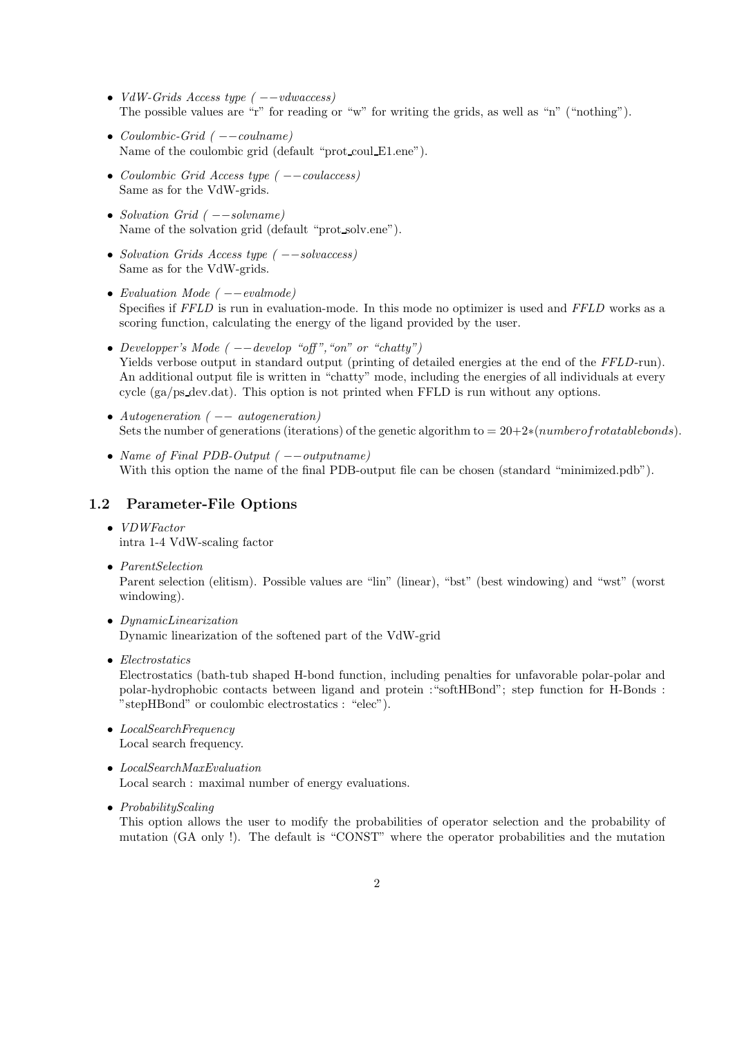- VdW-Grids Access type  $(--vdwaccess)$ The possible values are "r" for reading or "w" for writing the grids, as well as "n" ("nothing").
- Coulombic-Grid  $(--coulname)$ Name of the coulombic grid (default "prot coul E1.ene").
- Coulombic Grid Access type ( −−coulaccess) Same as for the VdW-grids.
- Solvation Grid ( −−solvname) Name of the solvation grid (default "prot solv.ene").
- Solvation Grids Access type ( −−solvaccess) Same as for the VdW-grids.
- Evaluation Mode  $(--evalmode)$ Specifies if FFLD is run in evaluation-mode. In this mode no optimizer is used and FFLD works as a scoring function, calculating the energy of the ligand provided by the user.
- Developper's Mode  $(--develop$  "off", "on" or "chatty") Yields verbose output in standard output (printing of detailed energies at the end of the FFLD-run). An additional output file is written in "chatty" mode, including the energies of all individuals at every cycle (ga/ps dev.dat). This option is not printed when FFLD is run without any options.
- Autogeneration  $($   $-$  autogeneration) Sets the number of generations (iterations) of the genetic algorithm to =  $20+2*(number of rotational belongs)$ .
- Name of Final PDB-Output ( −−outputname) With this option the name of the final PDB-output file can be chosen (standard "minimized.pdb").

## 1.2 Parameter-File Options

- VDWFactor intra 1-4 VdW-scaling factor
- ParentSelection

Parent selection (elitism). Possible values are "lin" (linear), "bst" (best windowing) and "wst" (worst windowing).

- DynamicLinearization Dynamic linearization of the softened part of the VdW-grid
- Electrostatics

Electrostatics (bath-tub shaped H-bond function, including penalties for unfavorable polar-polar and polar-hydrophobic contacts between ligand and protein :"softHBond"; step function for H-Bonds : "stepHBond" or coulombic electrostatics : "elec").

• LocalSearchFrequency Local search frequency.

• LocalSearchMaxEvaluation Local search : maximal number of energy evaluations.

• ProbabilityScaling

This option allows the user to modify the probabilities of operator selection and the probability of mutation (GA only !). The default is "CONST" where the operator probabilities and the mutation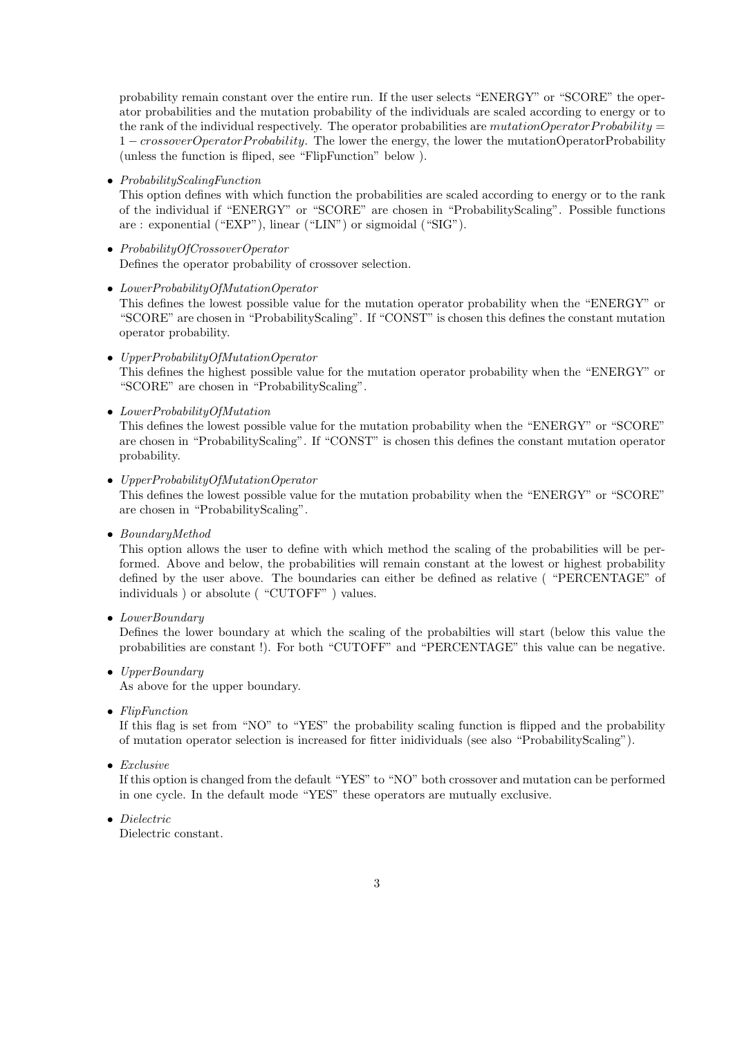probability remain constant over the entire run. If the user selects "ENERGY" or "SCORE" the operator probabilities and the mutation probability of the individuals are scaled according to energy or to the rank of the individual respectively. The operator probabilities are mutationOperatorProbability  $=$ 1 – crossoverOperatorProbability. The lower the energy, the lower the mutationOperatorProbability (unless the function is fliped, see "FlipFunction" below ).

• ProbabilityScalingFunction

This option defines with which function the probabilities are scaled according to energy or to the rank of the individual if "ENERGY" or "SCORE" are chosen in "ProbabilityScaling". Possible functions are : exponential ("EXP"), linear ("LIN") or sigmoidal ("SIG").

- ProbabilityOfCrossoverOperator Defines the operator probability of crossover selection.
- LowerProbabilityOfMutationOperator This defines the lowest possible value for the mutation operator probability when the "ENERGY" or "SCORE" are chosen in "ProbabilityScaling". If "CONST" is chosen this defines the constant mutation operator probability.
- UpperProbabilityOfMutationOperator This defines the highest possible value for the mutation operator probability when the "ENERGY" or "SCORE" are chosen in "ProbabilityScaling".
- LowerProbabilityOfMutation

This defines the lowest possible value for the mutation probability when the "ENERGY" or "SCORE" are chosen in "ProbabilityScaling". If "CONST" is chosen this defines the constant mutation operator probability.

- UpperProbabilityOfMutationOperator This defines the lowest possible value for the mutation probability when the "ENERGY" or "SCORE" are chosen in "ProbabilityScaling".
- BoundaryMethod

This option allows the user to define with which method the scaling of the probabilities will be performed. Above and below, the probabilities will remain constant at the lowest or highest probability defined by the user above. The boundaries can either be defined as relative ( "PERCENTAGE" of individuals ) or absolute ( "CUTOFF" ) values.

• LowerBoundary

Defines the lower boundary at which the scaling of the probabilties will start (below this value the probabilities are constant !). For both "CUTOFF" and "PERCENTAGE" this value can be negative.

- UpperBoundary As above for the upper boundary.
- FlipFunction

If this flag is set from "NO" to "YES" the probability scaling function is flipped and the probability of mutation operator selection is increased for fitter inidividuals (see also "ProbabilityScaling").

• Exclusive

If this option is changed from the default "YES" to "NO" both crossover and mutation can be performed in one cycle. In the default mode "YES" these operators are mutually exclusive.

• Dielectric

Dielectric constant.